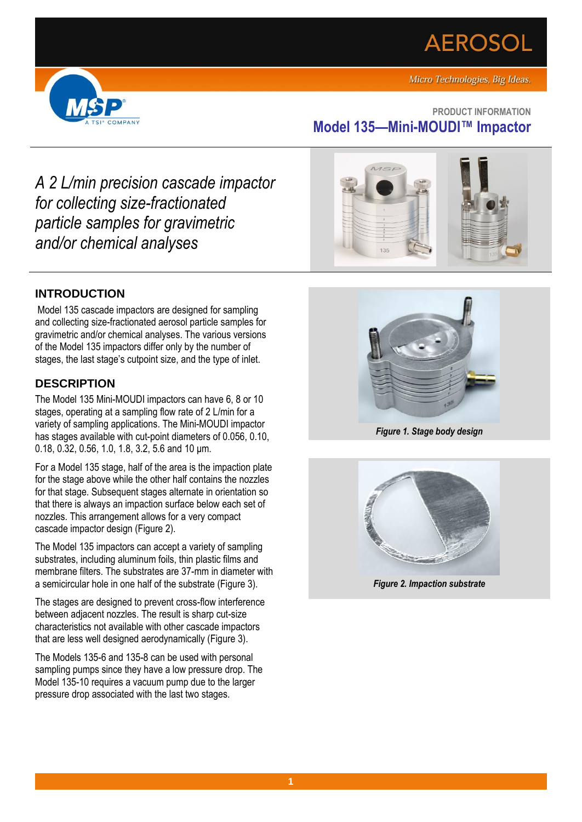# **AEROSOL**





## **PRODUCT INFORMATION Model 135—Mini-MOUDI™ Impactor**

*A 2 L/min precision cascade impactor for collecting size-fractionated particle samples for gravimetric and/or chemical analyses*

## **INTRODUCTION**

Model 135 cascade impactors are designed for sampling and collecting size-fractionated aerosol particle samples for gravimetric and/or chemical analyses. The various versions of the Model 135 impactors differ only by the number of stages, the last stage's cutpoint size, and the type of inlet.

## **DESCRIPTION**

The Model 135 Mini-MOUDI impactors can have 6, 8 or 10 stages, operating at a sampling flow rate of 2 L/min for a variety of sampling applications. The Mini-MOUDI impactor has stages available with cut-point diameters of 0.056, 0.10, 0.18, 0.32, 0.56, 1.0, 1.8, 3.2, 5.6 and 10 μm.

For a Model 135 stage, half of the area is the impaction plate for the stage above while the other half contains the nozzles for that stage. Subsequent stages alternate in orientation so that there is always an impaction surface below each set of nozzles. This arrangement allows for a very compact cascade impactor design (Figure 2).

The Model 135 impactors can accept a variety of sampling substrates, including aluminum foils, thin plastic films and membrane filters. The substrates are 37-mm in diameter with a semicircular hole in one half of the substrate (Figure 3).

The stages are designed to prevent cross-flow interference between adjacent nozzles. The result is sharp cut-size characteristics not available with other cascade impactors that are less well designed aerodynamically (Figure 3).

The Models 135-6 and 135-8 can be used with personal sampling pumps since they have a low pressure drop. The Model 135-10 requires a vacuum pump due to the larger pressure drop associated with the last two stages.





*Figure 1. Stage body design*



*Figure 2. Impaction substrate*